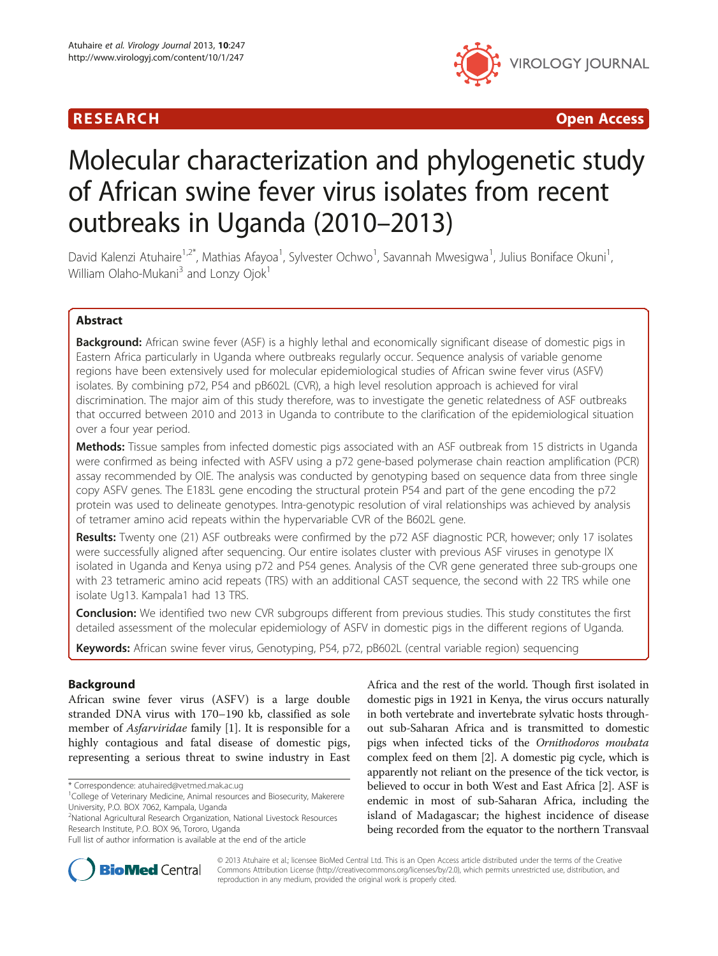

R E S EAR CH Open Access

# Molecular characterization and phylogenetic study of African swine fever virus isolates from recent outbreaks in Uganda (2010–2013)

David Kalenzi Atuhaire<sup>1,2\*</sup>, Mathias Afayoa<sup>1</sup>, Sylvester Ochwo<sup>1</sup>, Savannah Mwesigwa<sup>1</sup>, Julius Boniface Okuni<sup>1</sup> , William Olaho-Mukani<sup>3</sup> and Lonzy Ojok<sup>1</sup>

# Abstract

Background: African swine fever (ASF) is a highly lethal and economically significant disease of domestic pigs in Eastern Africa particularly in Uganda where outbreaks regularly occur. Sequence analysis of variable genome regions have been extensively used for molecular epidemiological studies of African swine fever virus (ASFV) isolates. By combining p72, P54 and pB602L (CVR), a high level resolution approach is achieved for viral discrimination. The major aim of this study therefore, was to investigate the genetic relatedness of ASF outbreaks that occurred between 2010 and 2013 in Uganda to contribute to the clarification of the epidemiological situation over a four year period.

Methods: Tissue samples from infected domestic pigs associated with an ASF outbreak from 15 districts in Uganda were confirmed as being infected with ASFV using a p72 gene-based polymerase chain reaction amplification (PCR) assay recommended by OIE. The analysis was conducted by genotyping based on sequence data from three single copy ASFV genes. The E183L gene encoding the structural protein P54 and part of the gene encoding the p72 protein was used to delineate genotypes. Intra-genotypic resolution of viral relationships was achieved by analysis of tetramer amino acid repeats within the hypervariable CVR of the B602L gene.

Results: Twenty one (21) ASF outbreaks were confirmed by the p72 ASF diagnostic PCR, however; only 17 isolates were successfully aligned after sequencing. Our entire isolates cluster with previous ASF viruses in genotype IX isolated in Uganda and Kenya using p72 and P54 genes. Analysis of the CVR gene generated three sub-groups one with 23 tetrameric amino acid repeats (TRS) with an additional CAST sequence, the second with 22 TRS while one isolate Ug13. Kampala1 had 13 TRS.

**Conclusion:** We identified two new CVR subgroups different from previous studies. This study constitutes the first detailed assessment of the molecular epidemiology of ASFV in domestic pigs in the different regions of Uganda.

Keywords: African swine fever virus, Genotyping, P54, p72, pB602L (central variable region) sequencing

## Background

African swine fever virus (ASFV) is a large double stranded DNA virus with 170–190 kb, classified as sole member of Asfarviridae family [[1\]](#page-7-0). It is responsible for a highly contagious and fatal disease of domestic pigs, representing a serious threat to swine industry in East

\* Correspondence: [atuhaired@vetmed.mak.ac.ug](mailto:atuhaired@vetmed.mak.ac.ug) <sup>1</sup>

2 National Agricultural Research Organization, National Livestock Resources Research Institute, P.O. BOX 96, Tororo, Uganda

Africa and the rest of the world. Though first isolated in domestic pigs in 1921 in Kenya, the virus occurs naturally in both vertebrate and invertebrate sylvatic hosts throughout sub-Saharan Africa and is transmitted to domestic pigs when infected ticks of the Ornithodoros moubata complex feed on them [\[2](#page-7-0)]. A domestic pig cycle, which is apparently not reliant on the presence of the tick vector, is believed to occur in both West and East Africa [[2\]](#page-7-0). ASF is endemic in most of sub-Saharan Africa, including the island of Madagascar; the highest incidence of disease being recorded from the equator to the northern Transvaal



© 2013 Atuhaire et al.; licensee BioMed Central Ltd. This is an Open Access article distributed under the terms of the Creative Commons Attribution License [\(http://creativecommons.org/licenses/by/2.0\)](http://creativecommons.org/licenses/by/2.0), which permits unrestricted use, distribution, and reproduction in any medium, provided the original work is properly cited.

<sup>&</sup>lt;sup>1</sup>College of Veterinary Medicine, Animal resources and Biosecurity, Makerere University, P.O. BOX 7062, Kampala, Uganda

Full list of author information is available at the end of the article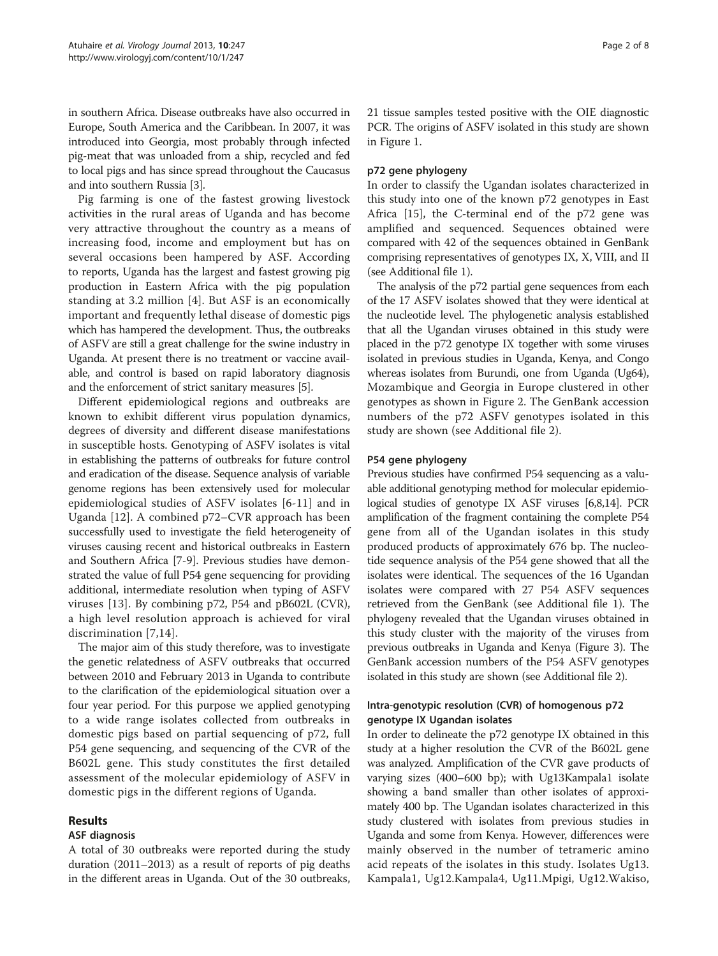in southern Africa. Disease outbreaks have also occurred in Europe, South America and the Caribbean. In 2007, it was introduced into Georgia, most probably through infected pig-meat that was unloaded from a ship, recycled and fed to local pigs and has since spread throughout the Caucasus and into southern Russia [\[3](#page-7-0)].

Pig farming is one of the fastest growing livestock activities in the rural areas of Uganda and has become very attractive throughout the country as a means of increasing food, income and employment but has on several occasions been hampered by ASF. According to reports, Uganda has the largest and fastest growing pig production in Eastern Africa with the pig population standing at 3.2 million [[4](#page-7-0)]. But ASF is an economically important and frequently lethal disease of domestic pigs which has hampered the development. Thus, the outbreaks of ASFV are still a great challenge for the swine industry in Uganda. At present there is no treatment or vaccine available, and control is based on rapid laboratory diagnosis and the enforcement of strict sanitary measures [\[5\]](#page-7-0).

Different epidemiological regions and outbreaks are known to exhibit different virus population dynamics, degrees of diversity and different disease manifestations in susceptible hosts. Genotyping of ASFV isolates is vital in establishing the patterns of outbreaks for future control and eradication of the disease. Sequence analysis of variable genome regions has been extensively used for molecular epidemiological studies of ASFV isolates [\[6](#page-7-0)-[11\]](#page-7-0) and in Uganda [[12\]](#page-7-0). A combined p72–CVR approach has been successfully used to investigate the field heterogeneity of viruses causing recent and historical outbreaks in Eastern and Southern Africa [\[7](#page-7-0)-[9\]](#page-7-0). Previous studies have demonstrated the value of full P54 gene sequencing for providing additional, intermediate resolution when typing of ASFV viruses [[13](#page-7-0)]. By combining p72, P54 and pB602L (CVR), a high level resolution approach is achieved for viral discrimination [\[7](#page-7-0),[14](#page-7-0)].

The major aim of this study therefore, was to investigate the genetic relatedness of ASFV outbreaks that occurred between 2010 and February 2013 in Uganda to contribute to the clarification of the epidemiological situation over a four year period. For this purpose we applied genotyping to a wide range isolates collected from outbreaks in domestic pigs based on partial sequencing of p72, full P54 gene sequencing, and sequencing of the CVR of the B602L gene. This study constitutes the first detailed assessment of the molecular epidemiology of ASFV in domestic pigs in the different regions of Uganda.

## Results

## ASF diagnosis

A total of 30 outbreaks were reported during the study duration (2011–2013) as a result of reports of pig deaths in the different areas in Uganda. Out of the 30 outbreaks, 21 tissue samples tested positive with the OIE diagnostic PCR. The origins of ASFV isolated in this study are shown in Figure [1.](#page-2-0)

# p72 gene phylogeny

In order to classify the Ugandan isolates characterized in this study into one of the known p72 genotypes in East Africa [\[15\]](#page-7-0), the C-terminal end of the p72 gene was amplified and sequenced. Sequences obtained were compared with 42 of the sequences obtained in GenBank comprising representatives of genotypes IX, X, VIII, and II (see Additional file [1](#page-6-0)).

The analysis of the p72 partial gene sequences from each of the 17 ASFV isolates showed that they were identical at the nucleotide level. The phylogenetic analysis established that all the Ugandan viruses obtained in this study were placed in the p72 genotype IX together with some viruses isolated in previous studies in Uganda, Kenya, and Congo whereas isolates from Burundi, one from Uganda (Ug64), Mozambique and Georgia in Europe clustered in other genotypes as shown in Figure [2](#page-3-0). The GenBank accession numbers of the p72 ASFV genotypes isolated in this study are shown (see Additional file [2\)](#page-6-0).

## P54 gene phylogeny

Previous studies have confirmed P54 sequencing as a valuable additional genotyping method for molecular epidemiological studies of genotype IX ASF viruses [\[6,8,14](#page-7-0)]. PCR amplification of the fragment containing the complete P54 gene from all of the Ugandan isolates in this study produced products of approximately 676 bp. The nucleotide sequence analysis of the P54 gene showed that all the isolates were identical. The sequences of the 16 Ugandan isolates were compared with 27 P54 ASFV sequences retrieved from the GenBank (see Additional file [1](#page-6-0)). The phylogeny revealed that the Ugandan viruses obtained in this study cluster with the majority of the viruses from previous outbreaks in Uganda and Kenya (Figure [3\)](#page-4-0). The GenBank accession numbers of the P54 ASFV genotypes isolated in this study are shown (see Additional file [2](#page-6-0)).

# Intra-genotypic resolution (CVR) of homogenous p72 genotype IX Ugandan isolates

In order to delineate the p72 genotype IX obtained in this study at a higher resolution the CVR of the B602L gene was analyzed. Amplification of the CVR gave products of varying sizes (400–600 bp); with Ug13Kampala1 isolate showing a band smaller than other isolates of approximately 400 bp. The Ugandan isolates characterized in this study clustered with isolates from previous studies in Uganda and some from Kenya. However, differences were mainly observed in the number of tetrameric amino acid repeats of the isolates in this study. Isolates Ug13. Kampala1, Ug12.Kampala4, Ug11.Mpigi, Ug12.Wakiso,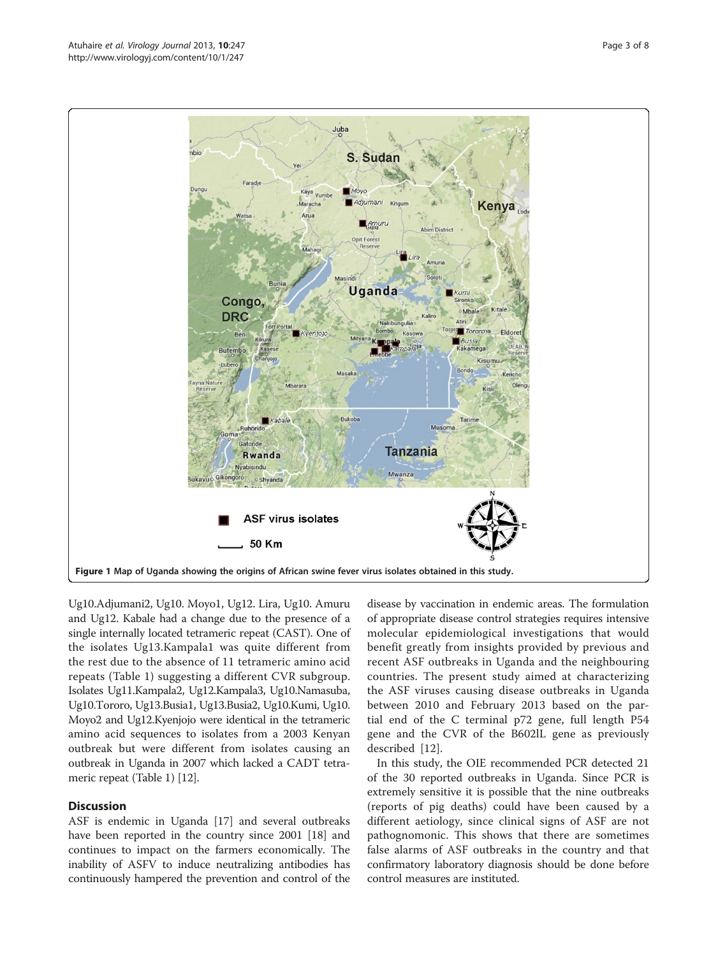Ug10.Adjumani2, Ug10. Moyo1, Ug12. Lira, Ug10. Amuru and Ug12. Kabale had a change due to the presence of a single internally located tetrameric repeat (CAST). One of the isolates Ug13.Kampala1 was quite different from the rest due to the absence of 11 tetrameric amino acid repeats (Table [1\)](#page-5-0) suggesting a different CVR subgroup. Isolates Ug11.Kampala2, Ug12.Kampala3, Ug10.Namasuba, Ug10.Tororo, Ug13.Busia1, Ug13.Busia2, Ug10.Kumi, Ug10. Moyo2 and Ug12.Kyenjojo were identical in the tetrameric amino acid sequences to isolates from a 2003 Kenyan outbreak but were different from isolates causing an outbreak in Uganda in 2007 which lacked a CADT tetrameric repeat (Table [1\)](#page-5-0) [[12](#page-7-0)].

#### **Discussion**

ASF is endemic in Uganda [[17](#page-7-0)] and several outbreaks have been reported in the country since 2001 [\[18](#page-7-0)] and continues to impact on the farmers economically. The inability of ASFV to induce neutralizing antibodies has continuously hampered the prevention and control of the disease by vaccination in endemic areas. The formulation of appropriate disease control strategies requires intensive molecular epidemiological investigations that would benefit greatly from insights provided by previous and recent ASF outbreaks in Uganda and the neighbouring countries. The present study aimed at characterizing the ASF viruses causing disease outbreaks in Uganda between 2010 and February 2013 based on the partial end of the C terminal p72 gene, full length P54 gene and the CVR of the B602lL gene as previously described [[12\]](#page-7-0).

In this study, the OIE recommended PCR detected 21 of the 30 reported outbreaks in Uganda. Since PCR is extremely sensitive it is possible that the nine outbreaks (reports of pig deaths) could have been caused by a different aetiology, since clinical signs of ASF are not pathognomonic. This shows that there are sometimes false alarms of ASF outbreaks in the country and that confirmatory laboratory diagnosis should be done before control measures are instituted.

<span id="page-2-0"></span>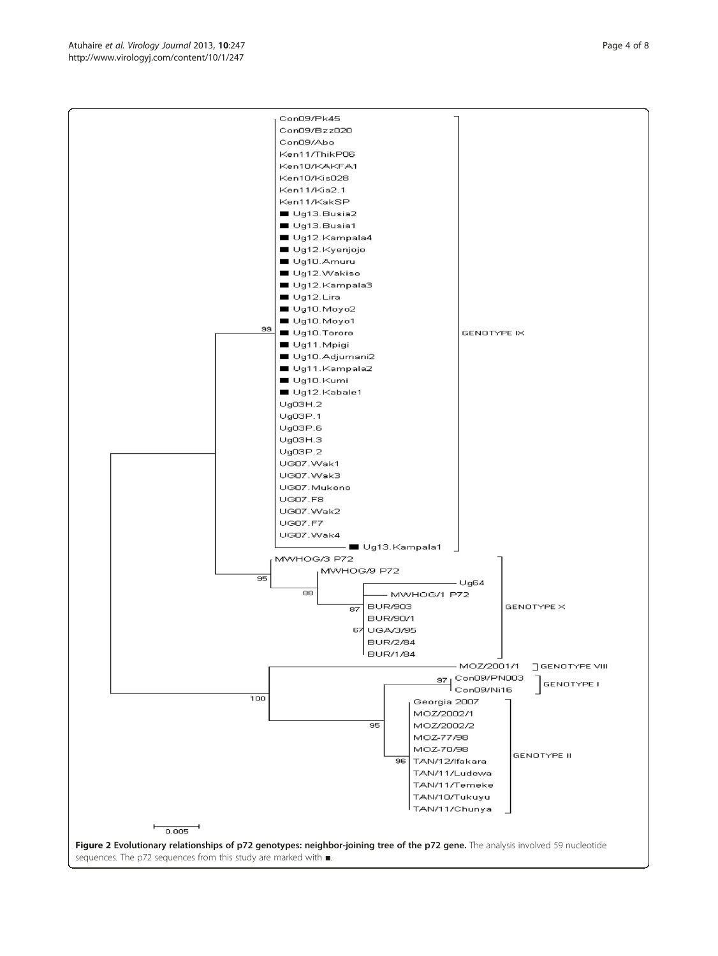<span id="page-3-0"></span>Ken10/KAKFA1 Ken10/Kis028 Ken11/Kia2.1 Ken11/KakSP Ug13.Busia2 Ug13.Busia1 Ug12.Kampala4 Ug12.Kyenjojo Ug10.Amuru Ug12.Wakiso Ug12.Kampala3  $Uq12.Lira$ Ug10.Moyo2 Ug10.Moyo1 99 Ug10.Tororo GENOTYPE IX Ug11.Mpigi Ug10.Adjumani2 Ug11.Kampala2 Ug10.Kumi Ug12.Kabale1 Ug03H.2  $UgO3P.1$ Ug03P.6  $UgO3H.3$ Ug03P.2 UG07.Wak1 UG07.Wak3 UG07.Mukono **UG07.F8** UG07.Wak2 **UG07.F7** UG07.Wak4 – ■ Ug13.Kampala1 MWHOG/3 P72 MWHOG/9 P72  $\overline{95}$  $- Ug64$  $\overline{\mathbf{e}}$ MWHOG/1 P72 **BUR/903** GENOTYPE X  $\overline{\mathsf{BZ}}$ **BUR/90/1** 67 UGA/3/95 **BUR/2/84 BUR/1/84** - MOZ/2001/1 **J** GENOTYPE VIII 97 Con09/PN003 **GENOTYPE I**  $100$ Georgia 2007 MOZ/2002/1  $\overline{95}$ MOZ/2002/2 MOZ-77/98 MOZ-70/98 GENOTYPE II  $96$ TAN/12/Ifakara TAN/11/Ludewa TAN/11/Temeke TAN/10/Tukuyu TAN/11/Chunya  $0.005$ Figure 2 Evolutionary relationships of p72 genotypes: neighbor-joining tree of the p72 gene. The analysis involved 59 nucleotide sequences. The p72 sequences from this study are marked with ■.

Con09/Pk45 Con09/Bzz020 Con09/Abo Ken11/ThikP06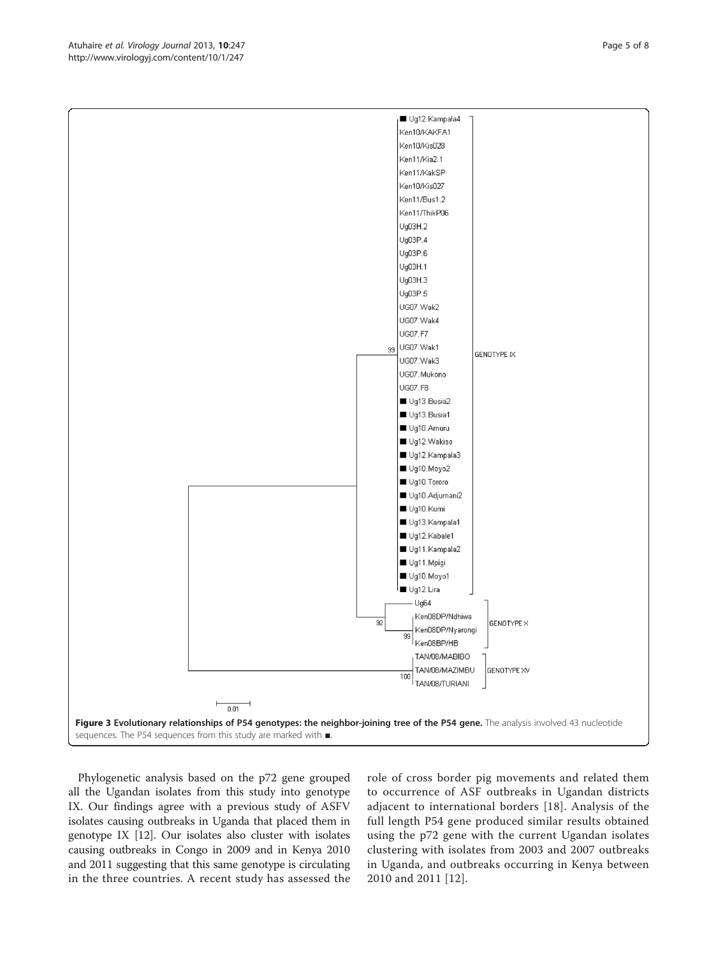$0.01$ Phylogenetic analysis based on the p72 gene grouped

all the Ugandan isolates from this study into genotype IX. Our findings agree with a previous study of ASFV isolates causing outbreaks in Uganda that placed them in genotype IX [[12](#page-7-0)]. Our isolates also cluster with isolates causing outbreaks in Congo in 2009 and in Kenya 2010 and 2011 suggesting that this same genotype is circulating in the three countries. A recent study has assessed the role of cross border pig movements and related them to occurrence of ASF outbreaks in Ugandan districts adjacent to international borders [\[18\]](#page-7-0). Analysis of the full length P54 gene produced similar results obtained using the p72 gene with the current Ugandan isolates clustering with isolates from 2003 and 2007 outbreaks in Uganda, and outbreaks occurring in Kenya between 2010 and 2011 [\[12\]](#page-7-0).

<span id="page-4-0"></span>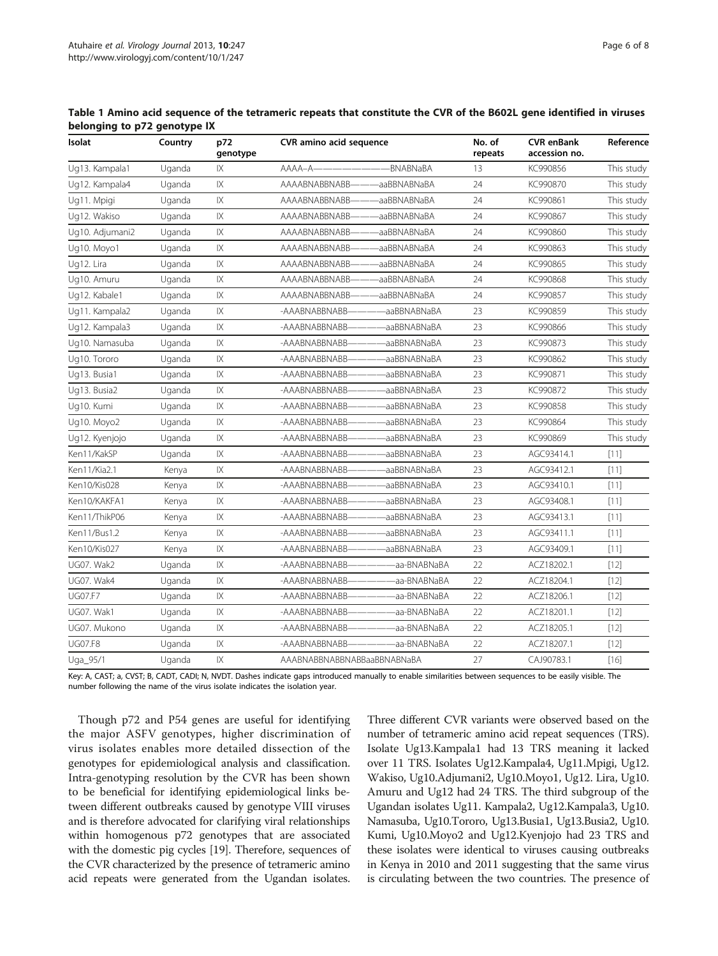<span id="page-5-0"></span>

| Table 1 Amino acid sequence of the tetrameric repeats that constitute the CVR of the B602L gene identified in viruses |  |
|-----------------------------------------------------------------------------------------------------------------------|--|
| belonging to p72 genotype IX                                                                                          |  |

| Isolat          | -15<br>Country<br>Uganda | p72<br>genotype        | <b>CVR</b> amino acid sequence |              | No. of<br>repeats | <b>CVR enBank</b><br>accession no. | Reference  |
|-----------------|--------------------------|------------------------|--------------------------------|--------------|-------------------|------------------------------------|------------|
| Ug13. Kampala1  |                          | IX                     | AAAA-A-                        | -BNABNaBA    | 13                | KC990856                           | This study |
| Ug12. Kampala4  | Uganda                   | IX                     | AAAABNABBNABB                  | aaBBNABNaBA  | 24                | KC990870                           | This study |
| Ug11. Mpigi     | Uganda                   | IX                     | AAAABNABBNABB-                 | aaBBNABNaBA  | 24                | KC990861                           | This study |
| Ug12. Wakiso    | Uganda                   | $\overline{X}$         | AAAABNABBNABB-                 | aaBBNABNaBA  | 24                | KC990867                           | This study |
| Ug10. Adjumani2 | Uganda                   | IX                     | AAAABNABBNABB-                 | -aaBBNABNaBA | 24                | KC990860                           | This study |
| Ug10. Moyo1     | Uganda                   | IX                     | AAAABNABBNABB-                 | aaBBNABNaBA  | 24                | KC990863                           | This study |
| Ug12. Lira      | Uganda                   | $\mathsf{IX}$          | AAAABNABBNABB                  | aaBBNABNaBA  | 24                | KC990865                           | This study |
| Ug10. Amuru     | Uganda                   | IX                     | AAAABNABBNABB-                 | -aaBBNABNaBA | 24                | KC990868                           | This study |
| Ug12. Kabale1   | Uganda                   | $\overline{X}$         | AAAABNABBNABB-                 | aaBBNABNaBA  | 24                | KC990857                           | This study |
| Ug11. Kampala2  | Uganda                   | IX                     | -AAABNABBNABB-                 | -aaBBNABNaBA | 23                | KC990859                           | This study |
| Ug12. Kampala3  | Uganda                   | IX                     | -AAABNABBNABB-                 | -aaBBNABNaBA | 23                | KC990866                           | This study |
| Ug10. Namasuba  | Uganda                   | $\mathsf{IX}$          | -AAABNABBNABB-                 | aaBBNABNaBA  | 23                | KC990873                           | This study |
| Ug10. Tororo    | Uganda                   | $\mathsf{IX}$          | -AAABNABBNABB-                 | -aaBBNABNaBA | 23                | KC990862                           | This study |
| Ug13. Busia1    | Uganda                   | $\mathsf{I}\mathsf{X}$ | -AAABNABBNABB-                 | aaBBNABNaBA  | 23                | KC990871                           | This study |
| Ug13. Busia2    | Uganda                   | $\mathsf{IX}$          | -AAABNABBNABB-                 | -aaBBNABNaBA | 23                | KC990872                           | This study |
| Ug10. Kumi      | Uganda                   | $\mathsf{IX}$          | -AAABNABBNABB-                 | aaBBNABNaBA  | 23                | KC990858                           | This study |
| Ug10. Moyo2     | Uganda                   | $\mathsf{IX}$          | -AAABNABBNABB-                 | aaBBNABNaBA  | 23                | KC990864                           | This study |
| Ug12. Kyenjojo  | Uganda                   | $\overline{X}$         | -AAABNABBNABB-                 | aaBBNABNaBA  | 23                | KC990869                           | This study |
| Ken11/KakSP     | Uganda                   | IX                     | -AAABNABBNABB-                 | aaBBNABNaBA  | 23                | AGC93414.1                         | [11]       |
| Ken11/Kia2.1    | Kenya                    | IX                     | -AAABNABBNABB-                 | -aaBBNABNaBA | 23                | AGC93412.1                         | [11]       |
| Ken10/Kis028    | Kenya                    | $\mathsf{IX}$          | -AAABNABBNABB-                 | -aaBBNABNaBA | 23                | AGC93410.1                         | [11]       |
| Ken10/KAKFA1    | Kenya                    | IX                     | -AAABNABBNABB-                 | aaBBNABNaBA  | 23                | AGC93408.1                         | [11]       |
| Ken11/ThikP06   | Kenya                    | $\mathsf{IX}$          | -AAABNABBNABB-                 | -aaBBNABNaBA | 23                | AGC93413.1                         | [11]       |
| Ken11/Bus1.2    | Kenya                    | $\mathsf{IX}$          | -AAABNABBNABB-                 | aaBBNABNaBA  | 23                | AGC93411.1                         | [11]       |
| Ken10/Kis027    | Kenya                    | $\mathsf{IX}$          | -AAABNABBNABB-                 | -aaBBNABNaBA | 23                | AGC93409.1                         | [11]       |
| UG07. Wak2      | Uganda                   | $\mathsf{IX}$          | -AAABNABBNABB-                 | aa-BNABNaBA  | 22                | ACZ18202.1                         | $[12]$     |
| UG07. Wak4      | Uganda                   | IX                     | -AAABNABBNABB-                 | -aa-BNABNaBA | 22                | ACZ18204.1                         | $[12]$     |
| <b>UG07.F7</b>  | Uganda                   | $\mathsf{I}\mathsf{X}$ | -AAABNABBNABB-                 | -aa-BNABNaBA | 22                | ACZ18206.1                         | $[12]$     |
| UG07. Wak1      | Uganda                   | $\mathsf{IX}$          | -AAABNABBNABB-                 | aa-BNABNaBA  | 22                | ACZ18201.1                         | $[12]$     |
| UG07. Mukono    | Uganda                   | IX                     | -AAABNABBNABB-                 | aa-BNABNaBA  | 22                | ACZ18205.1                         | $[12]$     |
| <b>UG07.F8</b>  | Uganda                   | $\mathsf{IX}$          | -AAABNABBNABB-                 | aa-BNABNaBA  | 22                | ACZ18207.1                         | $[12]$     |
| Uga_95/1        | Uganda                   | $\mathsf{IX}$          | AAABNABBNABBNABBaaBBNABNaBA    |              | 27                | CAJ90783.1                         | $[16]$     |

Key: A, CAST; a, CVST; B, CADT, CADI; N, NVDT. Dashes indicate gaps introduced manually to enable similarities between sequences to be easily visible. The number following the name of the virus isolate indicates the isolation year.

Though p72 and P54 genes are useful for identifying the major ASFV genotypes, higher discrimination of virus isolates enables more detailed dissection of the genotypes for epidemiological analysis and classification. Intra-genotyping resolution by the CVR has been shown to be beneficial for identifying epidemiological links between different outbreaks caused by genotype VIII viruses and is therefore advocated for clarifying viral relationships within homogenous p72 genotypes that are associated with the domestic pig cycles [[19\]](#page-7-0). Therefore, sequences of the CVR characterized by the presence of tetrameric amino acid repeats were generated from the Ugandan isolates.

Three different CVR variants were observed based on the number of tetrameric amino acid repeat sequences (TRS). Isolate Ug13.Kampala1 had 13 TRS meaning it lacked over 11 TRS. Isolates Ug12.Kampala4, Ug11.Mpigi, Ug12. Wakiso, Ug10.Adjumani2, Ug10.Moyo1, Ug12. Lira, Ug10. Amuru and Ug12 had 24 TRS. The third subgroup of the Ugandan isolates Ug11. Kampala2, Ug12.Kampala3, Ug10. Namasuba, Ug10.Tororo, Ug13.Busia1, Ug13.Busia2, Ug10. Kumi, Ug10.Moyo2 and Ug12.Kyenjojo had 23 TRS and these isolates were identical to viruses causing outbreaks in Kenya in 2010 and 2011 suggesting that the same virus is circulating between the two countries. The presence of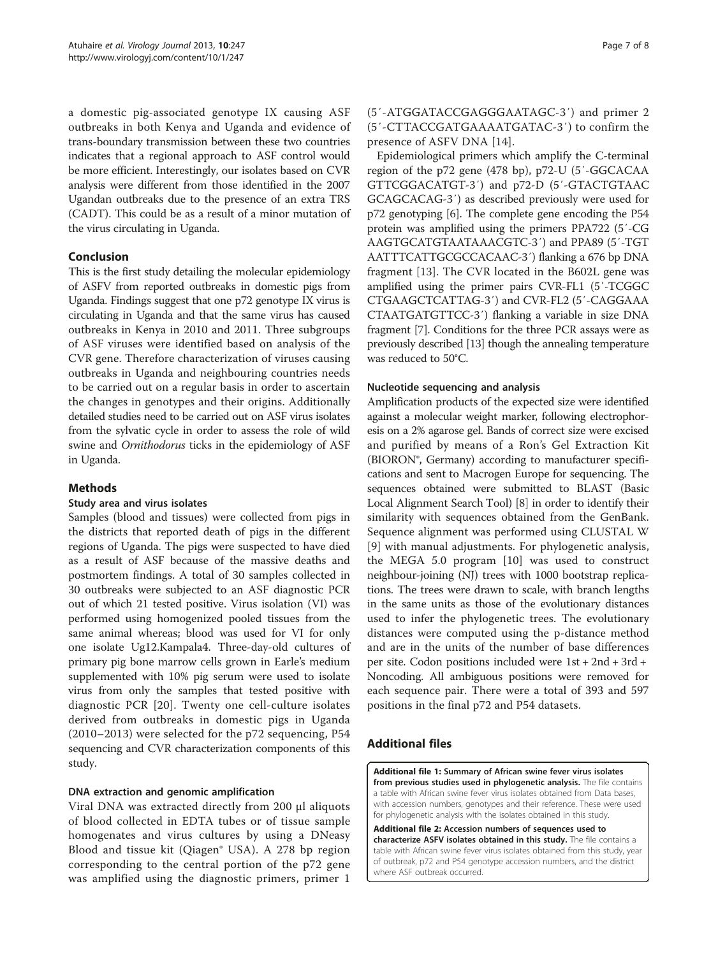<span id="page-6-0"></span>a domestic pig-associated genotype IX causing ASF outbreaks in both Kenya and Uganda and evidence of trans-boundary transmission between these two countries indicates that a regional approach to ASF control would be more efficient. Interestingly, our isolates based on CVR analysis were different from those identified in the 2007 Ugandan outbreaks due to the presence of an extra TRS (CADT). This could be as a result of a minor mutation of the virus circulating in Uganda.

## Conclusion

This is the first study detailing the molecular epidemiology of ASFV from reported outbreaks in domestic pigs from Uganda. Findings suggest that one p72 genotype IX virus is circulating in Uganda and that the same virus has caused outbreaks in Kenya in 2010 and 2011. Three subgroups of ASF viruses were identified based on analysis of the CVR gene. Therefore characterization of viruses causing outbreaks in Uganda and neighbouring countries needs to be carried out on a regular basis in order to ascertain the changes in genotypes and their origins. Additionally detailed studies need to be carried out on ASF virus isolates from the sylvatic cycle in order to assess the role of wild swine and Ornithodorus ticks in the epidemiology of ASF in Uganda.

# Methods

## Study area and virus isolates

Samples (blood and tissues) were collected from pigs in the districts that reported death of pigs in the different regions of Uganda. The pigs were suspected to have died as a result of ASF because of the massive deaths and postmortem findings. A total of 30 samples collected in 30 outbreaks were subjected to an ASF diagnostic PCR out of which 21 tested positive. Virus isolation (VI) was performed using homogenized pooled tissues from the same animal whereas; blood was used for VI for only one isolate Ug12.Kampala4. Three-day-old cultures of primary pig bone marrow cells grown in Earle's medium supplemented with 10% pig serum were used to isolate virus from only the samples that tested positive with diagnostic PCR [[20\]](#page-7-0). Twenty one cell-culture isolates derived from outbreaks in domestic pigs in Uganda (2010–2013) were selected for the p72 sequencing, P54 sequencing and CVR characterization components of this study.

## DNA extraction and genomic amplification

Viral DNA was extracted directly from 200 μl aliquots of blood collected in EDTA tubes or of tissue sample homogenates and virus cultures by using a DNeasy Blood and tissue kit (Qiagen® USA). A 278 bp region corresponding to the central portion of the p72 gene was amplified using the diagnostic primers, primer 1

# (5′-ATGGATACCGAGGGAATAGC-3′) and primer 2 (5′-CTTACCGATGAAAATGATAC-3′) to confirm the presence of ASFV DNA [\[14\]](#page-7-0).

Epidemiological primers which amplify the C-terminal region of the p72 gene (478 bp), p72-U (5′-GGCACAA GTTCGGACATGT-3′) and p72-D (5′-GTACTGTAAC GCAGCACAG-3′) as described previously were used for p72 genotyping [\[6](#page-7-0)]. The complete gene encoding the P54 protein was amplified using the primers PPA722 (5′-CG AAGTGCATGTAATAAACGTC-3′) and PPA89 (5′-TGT AATTTCATTGCGCCACAAC-3′) flanking a 676 bp DNA fragment [[13\]](#page-7-0). The CVR located in the B602L gene was amplified using the primer pairs CVR-FL1 (5′-TCGGC CTGAAGCTCATTAG-3′) and CVR-FL2 (5′-CAGGAAA CTAATGATGTTCC-3′) flanking a variable in size DNA fragment [[7\]](#page-7-0). Conditions for the three PCR assays were as previously described [\[13](#page-7-0)] though the annealing temperature was reduced to 50°C.

#### Nucleotide sequencing and analysis

Amplification products of the expected size were identified against a molecular weight marker, following electrophoresis on a 2% agarose gel. Bands of correct size were excised and purified by means of a Ron's Gel Extraction Kit (BIORON®, Germany) according to manufacturer specifications and sent to Macrogen Europe for sequencing. The sequences obtained were submitted to BLAST (Basic Local Alignment Search Tool) [[8\]](#page-7-0) in order to identify their similarity with sequences obtained from the GenBank. Sequence alignment was performed using CLUSTAL W [[9\]](#page-7-0) with manual adjustments. For phylogenetic analysis, the MEGA 5.0 program [[10\]](#page-7-0) was used to construct neighbour-joining (NJ) trees with 1000 bootstrap replications. The trees were drawn to scale, with branch lengths in the same units as those of the evolutionary distances used to infer the phylogenetic trees. The evolutionary distances were computed using the p-distance method and are in the units of the number of base differences per site. Codon positions included were 1st + 2nd + 3rd + Noncoding. All ambiguous positions were removed for each sequence pair. There were a total of 393 and 597 positions in the final p72 and P54 datasets.

# Additional files

[Additional file 1:](http://www.biomedcentral.com/content/supplementary/1743-422X-10-247-S1.csv) Summary of African swine fever virus isolates from previous studies used in phylogenetic analysis. The file contains a table with African swine fever virus isolates obtained from Data bases, with accession numbers, genotypes and their reference. These were used for phylogenetic analysis with the isolates obtained in this study.

[Additional file 2:](http://www.biomedcentral.com/content/supplementary/1743-422X-10-247-S2.csv) Accession numbers of sequences used to characterize ASFV isolates obtained in this study. The file contains a table with African swine fever virus isolates obtained from this study, year of outbreak, p72 and P54 genotype accession numbers, and the district where ASF outbreak occurred.